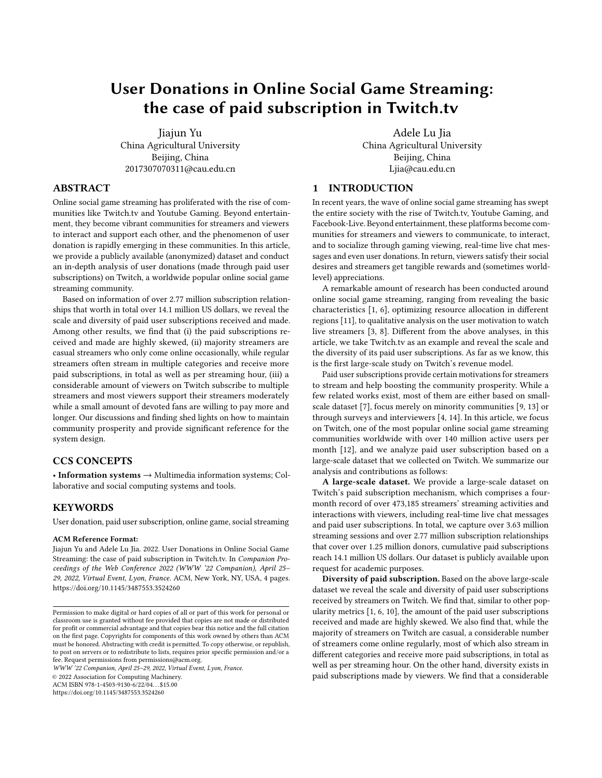# User Donations in Online Social Game Streaming: the case of paid subscription in Twitch.tv

Jiajun Yu China Agricultural University Beijing, China 2017307070311@cau.edu.cn

# ABSTRACT

Online social game streaming has proliferated with the rise of communities like Twitch.tv and Youtube Gaming. Beyond entertainment, they become vibrant communities for streamers and viewers to interact and support each other, and the phenomenon of user donation is rapidly emerging in these communities. In this article, we provide a publicly available (anonymized) dataset and conduct an in-depth analysis of user donations (made through paid user subscriptions) on Twitch, a worldwide popular online social game streaming community.

Based on information of over 2.77 million subscription relationships that worth in total over 14.1 million US dollars, we reveal the scale and diversity of paid user subscriptions received and made. Among other results, we find that (i) the paid subscriptions received and made are highly skewed, (ii) majority streamers are casual streamers who only come online occasionally, while regular streamers often stream in multiple categories and receive more paid subscriptions, in total as well as per streaming hour, (iii) a considerable amount of viewers on Twitch subscribe to multiple streamers and most viewers support their streamers moderately while a small amount of devoted fans are willing to pay more and longer. Our discussions and finding shed lights on how to maintain community prosperity and provide significant reference for the system design.

# CCS CONCEPTS

• Information systems → Multimedia information systems; Collaborative and social computing systems and tools.

# **KEYWORDS**

User donation, paid user subscription, online game, social streaming

#### ACM Reference Format:

Jiajun Yu and Adele Lu Jia. 2022. User Donations in Online Social Game Streaming: the case of paid subscription in Twitch.tv. In Companion Proceedings of the Web Conference 2022 (WWW '22 Companion), April 25– 29, 2022, Virtual Event, Lyon, France. ACM, New York, NY, USA, [4](#page-3-0) pages. <https://doi.org/10.1145/3487553.3524260>

WWW '22 Companion, April 25–29, 2022, Virtual Event, Lyon, France.

© 2022 Association for Computing Machinery.

ACM ISBN 978-1-4503-9130-6/22/04. . . \$15.00

<https://doi.org/10.1145/3487553.3524260>

Adele Lu Jia China Agricultural University Beijing, China Ljia@cau.edu.cn

# 1 INTRODUCTION

In recent years, the wave of online social game streaming has swept the entire society with the rise of Twitch.tv, Youtube Gaming, and Facebook-Live. Beyond entertainment, these platforms become communities for streamers and viewers to communicate, to interact, and to socialize through gaming viewing, real-time live chat messages and even user donations. In return, viewers satisfy their social desires and streamers get tangible rewards and (sometimes worldlevel) appreciations.

A remarkable amount of research has been conducted around online social game streaming, ranging from revealing the basic characteristics [\[1,](#page-3-1) [6\]](#page-3-2), optimizing resource allocation in different regions [\[11\]](#page-3-3), to qualitative analysis on the user motivation to watch live streamers [\[3,](#page-3-4) [8\]](#page-3-5). Different from the above analyses, in this article, we take Twitch.tv as an example and reveal the scale and the diversity of its paid user subscriptions. As far as we know, this is the first large-scale study on Twitch's revenue model.

Paid user subscriptions provide certain motivations for streamers to stream and help boosting the community prosperity. While a few related works exist, most of them are either based on smallscale dataset [\[7\]](#page-3-6), focus merely on minority communities [\[9,](#page-3-7) [13\]](#page-3-8) or through surveys and interviewers [\[4,](#page-3-9) [14\]](#page-3-10). In this article, we focus on Twitch, one of the most popular online social game streaming communities worldwide with over 140 million active users per month [\[12\]](#page-3-11), and we analyze paid user subscription based on a large-scale dataset that we collected on Twitch. We summarize our analysis and contributions as follows:

A large-scale dataset. We provide a large-scale dataset on Twitch's paid subscription mechanism, which comprises a fourmonth record of over 473,185 streamers' streaming activities and interactions with viewers, including real-time live chat messages and paid user subscriptions. In total, we capture over 3.63 million streaming sessions and over 2.77 million subscription relationships that cover over 1.25 million donors, cumulative paid subscriptions reach 14.1 million US dollars. Our dataset is publicly available upon request for academic purposes.

Diversity of paid subscription. Based on the above large-scale dataset we reveal the scale and diversity of paid user subscriptions received by streamers on Twitch. We find that, similar to other popularity metrics [\[1,](#page-3-1) [6,](#page-3-2) [10\]](#page-3-12), the amount of the paid user subscriptions received and made are highly skewed. We also find that, while the majority of streamers on Twitch are casual, a considerable number of streamers come online regularly, most of which also stream in different categories and receive more paid subscriptions, in total as well as per streaming hour. On the other hand, diversity exists in paid subscriptions made by viewers. We find that a considerable

Permission to make digital or hard copies of all or part of this work for personal or classroom use is granted without fee provided that copies are not made or distributed for profit or commercial advantage and that copies bear this notice and the full citation on the first page. Copyrights for components of this work owned by others than ACM must be honored. Abstracting with credit is permitted. To copy otherwise, or republish, to post on servers or to redistribute to lists, requires prior specific permission and/or a fee. Request permissions from permissions@acm.org.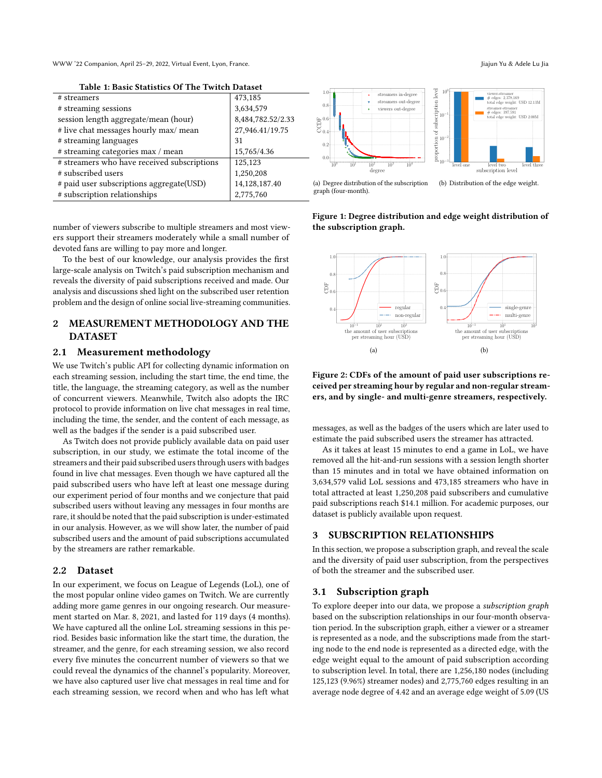WWW '22 Companion, April 25–29, 2022, Virtual Event, Lyon, France. Journal of the Companion of the Cu Jiajun Yu & Adele Lu Jia

Table 1: Basic Statistics Of The Twitch Dataset

|                                             |                   | 1.0                              |
|---------------------------------------------|-------------------|----------------------------------|
| # streamers                                 | 473,185           |                                  |
| # streaming sessions                        | 3,634,579         | $0.8 -$                          |
| session length aggregate/mean (hour)        | 8,484,782.52/2.33 |                                  |
| # live chat messages hourly max/ mean       | 27,946.41/19.75   | $\bigoplus_{0.4}^{\text{L}}$ 0.6 |
| # streaming languages                       | 31                | $0.2^{\circ}$                    |
| # streaming categories max / mean           | 15,765/4.36       |                                  |
| # streamers who have received subscriptions | 125,123           | 0.0<br>$10^{0}$                  |
| # subscribed users                          | 1,250,208         |                                  |
| # paid user subscriptions aggregate(USD)    | 14,128,187.40     | (a) Degre                        |
| # subscription relationships                | 2,775,760         | graph (fo                        |
|                                             |                   |                                  |

<span id="page-1-0"></span>proportion of subscription level<br> $\frac{1}{2}$  $10^{0}$   $^{-1}$  $1.0 + +$ streamers in-degree viewer-streamer # edges: 2,378,169 total edge weight: USD 12.13M streamers out-degre subscription  $0.8 +$ viewers out-degr streamer-streamer # edges: 397,591  $10^{-1}$  +  $USD$  2.00M  $0.6 + +$  $\overline{\Theta}^{0.6}_{_{\alpha4}}$  ,  $0.4$   $\leftarrow$ ŧ portion  $10^{-2}$  +  $0.2 + +$  $0.0$   $\leftarrow$  $10^{-3}$   $\frac{1}{10}$  $10^0$   $10^1$   $10^2$   $10^3$   $10^4$ level one level two level three subscription level degree

ee distribution of the subscription ur-month).

<span id="page-1-1"></span>(b) Distribution of the edge weight.

number of viewers subscribe to multiple streamers and most viewers support their streamers moderately while a small number of devoted fans are willing to pay more and longer.

To the best of our knowledge, our analysis provides the first large-scale analysis on Twitch's paid subscription mechanism and reveals the diversity of paid subscriptions received and made. Our analysis and discussions shed light on the subscribed user retention problem and the design of online social live-streaming communities.

# 2 MEASUREMENT METHODOLOGY AND THE DATASET

# 2.1 Measurement methodology

We use Twitch's public API for collecting dynamic information on each streaming session, including the start time, the end time, the title, the language, the streaming category, as well as the number of concurrent viewers. Meanwhile, Twitch also adopts the IRC protocol to provide information on live chat messages in real time, including the time, the sender, and the content of each message, as well as the badges if the sender is a paid subscribed user.

As Twitch does not provide publicly available data on paid user subscription, in our study, we estimate the total income of the streamers and their paid subscribed users through users with badges found in live chat messages. Even though we have captured all the paid subscribed users who have left at least one message during our experiment period of four months and we conjecture that paid subscribed users without leaving any messages in four months are rare, it should be noted that the paid subscription is under-estimated in our analysis. However, as we will show later, the number of paid subscribed users and the amount of paid subscriptions accumulated by the streamers are rather remarkable.

### 2.2 Dataset

In our experiment, we focus on League of Legends (LoL), one of the most popular online video games on Twitch. We are currently adding more game genres in our ongoing research. Our measurement started on Mar. 8, 2021, and lasted for 119 days (4 months). We have captured all the online LoL streaming sessions in this period. Besides basic information like the start time, the duration, the streamer, and the genre, for each streaming session, we also record every five minutes the concurrent number of viewers so that we could reveal the dynamics of the channel's popularity. Moreover, we have also captured user live chat messages in real time and for each streaming session, we record when and who has left what

Figure 1: Degree distribution and edge weight distribution of the subscription graph.

<span id="page-1-2"></span>

<span id="page-1-3"></span>Figure 2: CDFs of the amount of paid user subscriptions received per streaming hour by regular and non-regular streamers, and by single- and multi-genre streamers, respectively.

messages, as well as the badges of the users which are later used to estimate the paid subscribed users the streamer has attracted.

As it takes at least 15 minutes to end a game in LoL, we have removed all the hit-and-run sessions with a session length shorter than 15 minutes and in total we have obtained information on 3,634,579 valid LoL sessions and 473,185 streamers who have in total attracted at least 1,250,208 paid subscribers and cumulative paid subscriptions reach \$14.1 million. For academic purposes, our dataset is publicly available upon request.

# 3 SUBSCRIPTION RELATIONSHIPS

In this section, we propose a subscription graph, and reveal the scale and the diversity of paid user subscription, from the perspectives of both the streamer and the subscribed user.

#### 3.1 Subscription graph

To explore deeper into our data, we propose a subscription graph based on the subscription relationships in our four-month observation period. In the subscription graph, either a viewer or a streamer is represented as a node, and the subscriptions made from the starting node to the end node is represented as a directed edge, with the edge weight equal to the amount of paid subscription according to subscription level. In total, there are 1,256,180 nodes (including 125,123 (9.96%) streamer nodes) and 2,775,760 edges resulting in an average node degree of 4.42 and an average edge weight of 5.09 (US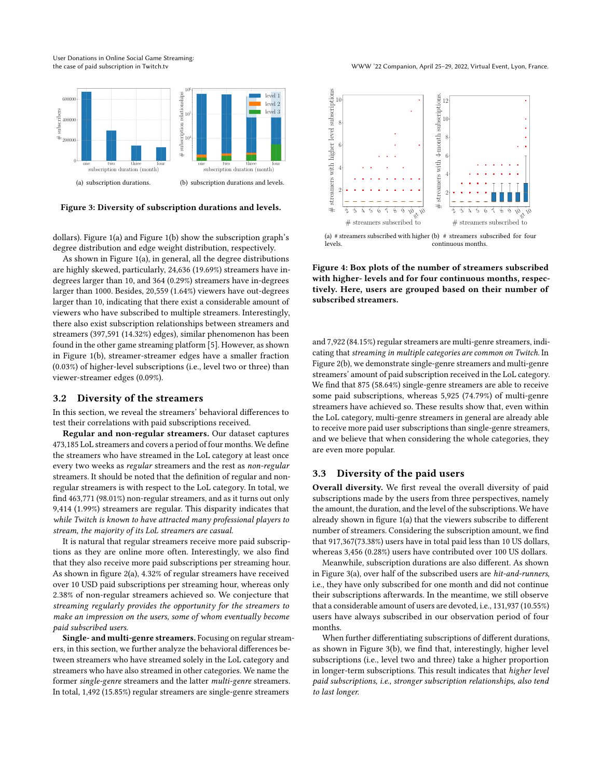User Donations in Online Social Game Streaming:

<span id="page-2-0"></span>

<span id="page-2-1"></span>Figure 3: Diversity of subscription durations and levels.

dollars). Figure [1\(a\)](#page-1-0) and Figure [1\(b\)](#page-1-1) show the subscription graph's degree distribution and edge weight distribution, respectively.

As shown in Figure [1\(a\),](#page-1-0) in general, all the degree distributions are highly skewed, particularly, 24,636 (19.69%) streamers have indegrees larger than 10, and 364 (0.29%) streamers have in-degrees larger than 1000. Besides, 20,559 (1.64%) viewers have out-degrees larger than 10, indicating that there exist a considerable amount of viewers who have subscribed to multiple streamers. Interestingly, there also exist subscription relationships between streamers and streamers (397,591 (14.32%) edges), similar phenomenon has been found in the other game streaming platform [\[5\]](#page-3-13). However, as shown in Figure [1\(b\),](#page-1-1) streamer-streamer edges have a smaller fraction (0.03%) of higher-level subscriptions (i.e., level two or three) than viewer-streamer edges (0.09%). **Figure 3. Diversity of suostriphon ton anons and revenues and**  $\frac{1}{2}$  **and**  $\frac{1}{2}$  **and**  $\frac{1}{2}$  **and**  $\frac{1}{2}$  **and**  $\frac{1}{2}$  **and**  $\frac{1}{2}$  **and**  $\frac{1}{2}$  **and**  $\frac{1}{2}$  **and**  $\frac{1}{2}$  **and**  $\frac{1}{2}$  **and**  $\frac{1}{2}$  **and \frac{** 

#### 3.2 Diversity of the streamers

In this section, we reveal the streamers' behavioral differences to test their correlations with paid subscriptions received.

Regular and non-regular streamers. Our dataset captures 473,185 LoL streamers and covers a period of four months. We define the streamers who have streamed in the LoL category at least once every two weeks as regular streamers and the rest as non-regular streamers. It should be noted that the definition of regular and nonregular streamers is with respect to the LoL category. In total, we find 463,771 (98.01%) non-regular streamers, and as it turns out only 9,414 (1.99%) streamers are regular. This disparity indicates that while Twitch is known to have attracted many professional players to stream, the majority of its LoL streamers are casual.

It is natural that regular streamers receive more paid subscriptions as they are online more often. Interestingly, we also find that they also receive more paid subscriptions per streaming hour. As shown in figure [2\(a\),](#page-1-2) 4.32% of regular streamers have received over 10 USD paid subscriptions per streaming hour, whereas only 2.38% of non-regular streamers achieved so. We conjecture that streaming regularly provides the opportunity for the streamers to make an impression on the users, some of whom eventually become paid subscribed users.

Single- and multi-genre streamers. Focusing on regular streamers, in this section, we further analyze the behavioral differences between streamers who have streamed solely in the LoL category and streamers who have also streamed in other categories. We name the former single-genre streamers and the latter multi-genre streamers.

<span id="page-2-2"></span>

<span id="page-2-3"></span>(a) # streamers subscribed with higher (b) # streamers subscribed for four levels. continuous months.

Figure 4: Box plots of the number of streamers subscribed with higher- levels and for four continuous months, respectively. Here, users are grouped based on their number of subscribed streamers.

and 7,922 (84.15%) regular streamers are multi-genre streamers, indicating that streaming in multiple categories are common on Twitch. In Figure [2\(b\),](#page-1-3) we demonstrate single-genre streamers and multi-genre streamers' amount of paid subscription received in the LoL category. We find that 875 (58.64%) single-genre streamers are able to receive some paid subscriptions, whereas 5,925 (74.79%) of multi-genre streamers have achieved so. These results show that, even within the LoL category, multi-genre streamers in general are already able to receive more paid user subscriptions than single-genre streamers, and we believe that when considering the whole categories, they are even more popular.

#### 3.3 Diversity of the paid users

Overall diversity. We first reveal the overall diversity of paid subscriptions made by the users from three perspectives, namely the amount, the duration, and the level of the subscriptions. We have already shown in figure [1\(a\)](#page-1-0) that the viewers subscribe to different number of streamers. Considering the subscription amount, we find that 917,367(73.38%) users have in total paid less than 10 US dollars, whereas 3,456 (0.28%) users have contributed over 100 US dollars.

Meanwhile, subscription durations are also different. As shown in Figure [3\(a\),](#page-2-0) over half of the subscribed users are hit-and-runners, i.e., they have only subscribed for one month and did not continue their subscriptions afterwards. In the meantime, we still observe that a considerable amount of users are devoted, i.e., 131,937 (10.55%) users have always subscribed in our observation period of four months.

When further differentiating subscriptions of different durations, as shown in Figure [3\(b\),](#page-2-1) we find that, interestingly, higher level subscriptions (i.e., level two and three) take a higher proportion in longer-term subscriptions. This result indicates that higher level paid subscriptions, i.e., stronger subscription relationships, also tend to last longer.